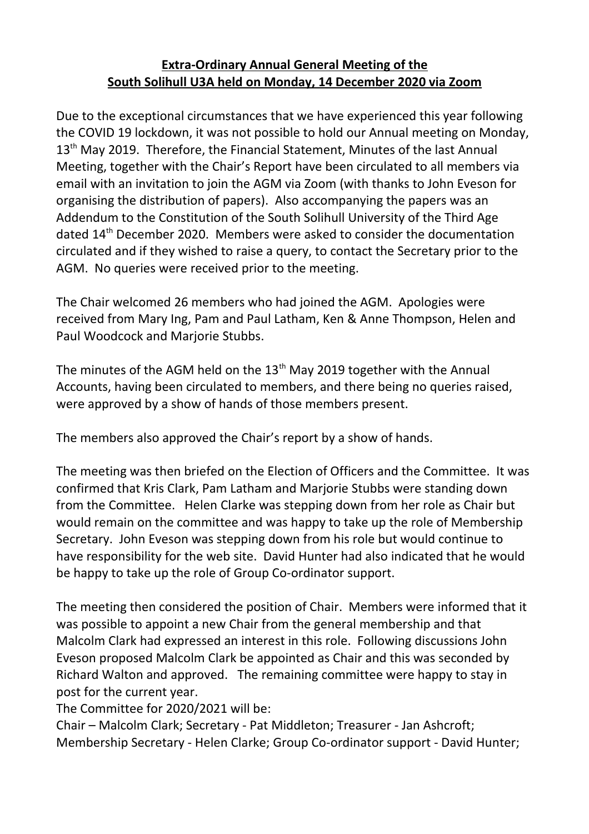## **Extra-Ordinary Annual General Meeting of the South Solihull U3A held on Monday, 14 December 2020 via Zoom**

Due to the exceptional circumstances that we have experienced this year following the COVID 19 lockdown, it was not possible to hold our Annual meeting on Monday, 13<sup>th</sup> May 2019. Therefore, the Financial Statement, Minutes of the last Annual Meeting, together with the Chair's Report have been circulated to all members via email with an invitation to join the AGM via Zoom (with thanks to John Eveson for organising the distribution of papers). Also accompanying the papers was an Addendum to the Constitution of the South Solihull University of the Third Age dated 14<sup>th</sup> December 2020. Members were asked to consider the documentation circulated and if they wished to raise a query, to contact the Secretary prior to the AGM. No queries were received prior to the meeting.

The Chair welcomed 26 members who had joined the AGM. Apologies were received from Mary Ing, Pam and Paul Latham, Ken & Anne Thompson, Helen and Paul Woodcock and Marjorie Stubbs.

The minutes of the AGM held on the  $13<sup>th</sup>$  May 2019 together with the Annual Accounts, having been circulated to members, and there being no queries raised, were approved by a show of hands of those members present.

The members also approved the Chair's report by a show of hands.

The meeting was then briefed on the Election of Officers and the Committee. It was confirmed that Kris Clark, Pam Latham and Marjorie Stubbs were standing down from the Committee. Helen Clarke was stepping down from her role as Chair but would remain on the committee and was happy to take up the role of Membership Secretary. John Eveson was stepping down from his role but would continue to have responsibility for the web site. David Hunter had also indicated that he would be happy to take up the role of Group Co-ordinator support.

The meeting then considered the position of Chair. Members were informed that it was possible to appoint a new Chair from the general membership and that Malcolm Clark had expressed an interest in this role. Following discussions John Eveson proposed Malcolm Clark be appointed as Chair and this was seconded by Richard Walton and approved. The remaining committee were happy to stay in post for the current year.

The Committee for 2020/2021 will be:

Chair – Malcolm Clark; Secretary - Pat Middleton; Treasurer - Jan Ashcroft; Membership Secretary - Helen Clarke; Group Co-ordinator support - David Hunter;